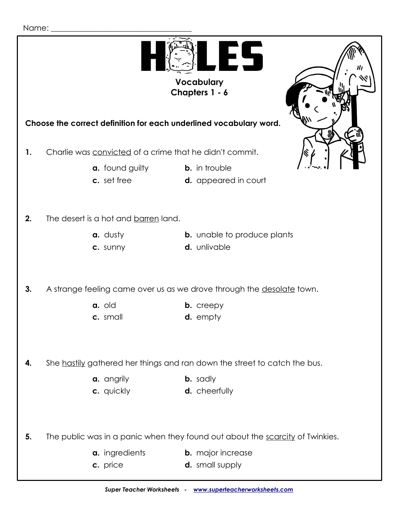

**Vocabulary Chapters 1 - 6**



 **Choose the correct definition for each underlined vocabulary word.**

- **1.** Charlie was convicted of a crime that he didn't commit.
	- **a.** found guilty **b.** in trouble
		-
	- **c.** set free **d.** appeared in court
- 

## **2.** The desert is a hot and barren land.

- 
- **a.** dusty **b.** unable to produce plants
- 
- **c.** sunny **d.** unlivable

**3.** A strange feeling came over us as we drove through the desolate town.

- **a. b.** creepy
- **c.** small **d.** empty

**4.** She hastily gathered her things and ran down the street to catch the bus.

- **a.** angrily **b.** sadly
- **c.** quickly **d.** cheerfully

**5.** The public was in a panic when they found out about the scarcity of Twinkies.

| a. ingredients | <b>b.</b> major increase         |
|----------------|----------------------------------|
|                | المناسب متنازعه المستحدث والمراس |

- 
- **c.** price **d.** small supply